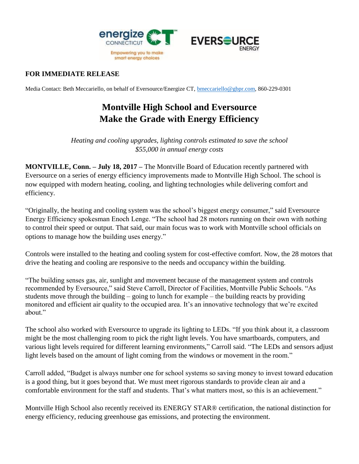

## **FOR IMMEDIATE RELEASE**

Media Contact: Beth Meccariello, on behalf of Eversource/Energize CT, [bmeccariello@gbpr.com,](mailto:bmeccariello@gbpr.com) 860-229-0301

## **Montville High School and Eversource Make the Grade with Energy Efficiency**

*Heating and cooling upgrades, lighting controls estimated to save the school \$55,000 in annual energy costs*

**MONTVILLE, Conn. – July 18, 2017 –** The Montville Board of Education recently partnered with Eversource on a series of energy efficiency improvements made to Montville High School. The school is now equipped with modern heating, cooling, and lighting technologies while delivering comfort and efficiency.

"Originally, the heating and cooling system was the school's biggest energy consumer," said Eversource Energy Efficiency spokesman Enoch Lenge. "The school had 28 motors running on their own with nothing to control their speed or output. That said, our main focus was to work with Montville school officials on options to manage how the building uses energy."

Controls were installed to the heating and cooling system for cost-effective comfort. Now, the 28 motors that drive the heating and cooling are responsive to the needs and occupancy within the building.

"The building senses gas, air, sunlight and movement because of the management system and controls recommended by Eversource," said Steve Carroll, Director of Facilities, Montville Public Schools. "As students move through the building – going to lunch for example – the building reacts by providing monitored and efficient air quality to the occupied area. It's an innovative technology that we're excited about."

The school also worked with Eversource to upgrade its lighting to LEDs. "If you think about it, a classroom might be the most challenging room to pick the right light levels. You have smartboards, computers, and various light levels required for different learning environments," Carroll said. "The LEDs and sensors adjust light levels based on the amount of light coming from the windows or movement in the room."

Carroll added, "Budget is always number one for school systems so saving money to invest toward education is a good thing, but it goes beyond that. We must meet rigorous standards to provide clean air and a comfortable environment for the staff and students. That's what matters most, so this is an achievement."

Montville High School also recently received its ENERGY STAR® certification, the national distinction for energy efficiency, reducing greenhouse gas emissions, and protecting the environment.